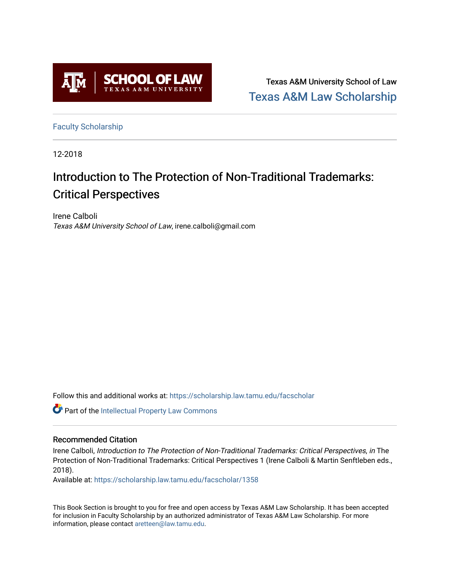

Texas A&M University School of Law [Texas A&M Law Scholarship](https://scholarship.law.tamu.edu/) 

[Faculty Scholarship](https://scholarship.law.tamu.edu/facscholar)

12-2018

# Introduction to The Protection of Non-Traditional Trademarks: Critical Perspectives

Irene Calboli Texas A&M University School of Law, irene.calboli@gmail.com

Follow this and additional works at: [https://scholarship.law.tamu.edu/facscholar](https://scholarship.law.tamu.edu/facscholar?utm_source=scholarship.law.tamu.edu%2Ffacscholar%2F1358&utm_medium=PDF&utm_campaign=PDFCoverPages) 

Part of the [Intellectual Property Law Commons](http://network.bepress.com/hgg/discipline/896?utm_source=scholarship.law.tamu.edu%2Ffacscholar%2F1358&utm_medium=PDF&utm_campaign=PDFCoverPages) 

## Recommended Citation

Irene Calboli, Introduction to The Protection of Non-Traditional Trademarks: Critical Perspectives, in The Protection of Non-Traditional Trademarks: Critical Perspectives 1 (Irene Calboli & Martin Senftleben eds., 2018).

Available at: [https://scholarship.law.tamu.edu/facscholar/1358](https://scholarship.law.tamu.edu/facscholar/1358?utm_source=scholarship.law.tamu.edu%2Ffacscholar%2F1358&utm_medium=PDF&utm_campaign=PDFCoverPages) 

This Book Section is brought to you for free and open access by Texas A&M Law Scholarship. It has been accepted for inclusion in Faculty Scholarship by an authorized administrator of Texas A&M Law Scholarship. For more information, please contact [aretteen@law.tamu.edu](mailto:aretteen@law.tamu.edu).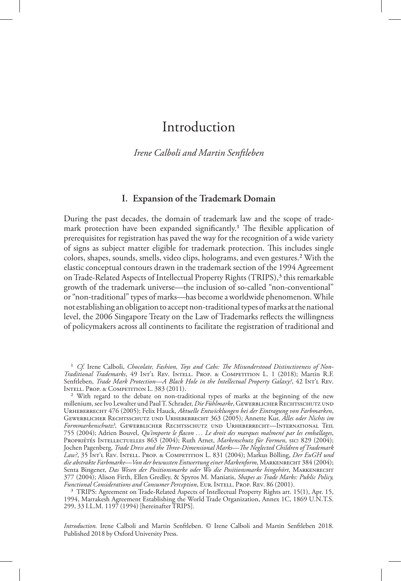## Introduction

## *Irene Calboli and Martin Senftleben*

## **I. Expansion of the Trademark Domain**

During the past decades, the domain of trademark law and the scope of trademark protection have been expanded significantly.<sup>1</sup> The flexible application of prerequisites for registration has paved the way for the recognition of a wide variety of signs as subject matter eligible for trademark protection. This includes single colors, shapes, sounds, smells, video clips, holograms, and even gestures.2 With the elastic conceptual contours drawn in the trademark section of the 1994 Agreement on Trade-Related Aspects of Intellectual Property Rights (TRIPS),<sup>3</sup> this remarkable growth of the trademark universe—the inclusion of so-called "non-conventional" or "non-traditional" types of marks—has become a worldwide phenomenon. While not establishing an obligation to accept non-traditional types of marks at the national level, the 2006 Singapore Treaty on the Law of Trademarks reflects the willingness of policymakers across all continents to facilitate the registration of traditional and

*Introduction.* Irene Calboli and Martin Senftleben. © Irene Calboli and Martin Senftleben 2018. Published 2018 by Oxford University Press.

<sup>&</sup>lt;sup>1</sup> Cf. Irene Calboli, Chocolate, Fashion, Toys and Cabs: The Misunderstood Distinctiveness of Non-*Traditional Trademarks*, 49 Int'l Rev. Intell. Prop. & Competition L. 1 (2018); Martin R.F. Senftleben, *Trade Mark Protection—A Black Hole in the Intellectual Property Galaxy?*, 42 Int'l Rev. INTELL. PROP. & COMPETITION L. 383 (2011).

<sup>2</sup> With regard to the debate on non-traditional types of marks at the beginning of the new millenium, see Ivo Lewalter und Paul T. Schrader, *Die Fühlmarke*, Gewerblicher Rechtsschutz und Urheberrecht 476 (2005); Felix Hauck, *Aktuelle Entwicklungen bei der Eintragung von Farbmarken*, Gewerblicher Rechtsschutz und Urheberrecht 363 (2005); Annette Kur, *Alles oder Nichts im Formmarkenschutz?*, Gewerblicher Rechtsschutz und Urheberrecht—International Teil 755 (2004); Adrien Bouvel, *Qu'importe le flacon . .. Le droit des marques malmené par les emballages*, Propriétés Intellectuelles 863 (2004); Ruth Arnet, *Markenschutz für Formen*, sic! 829 (2004); Jochen Pagenberg, *Trade Dress and the Three-Dimensional Marks—The Neglected Children of Trademark Law?*, 35 Int'l Rev. Intell. Prop. & Competition L. 831 (2004); Markus Bölling, *Der EuGH und die abstrakte Farbmarke—Von der bewussten Entwertung einer Markenform*, Markenrecht 384 (2004); Senta Bingener, *Das Wesen der Positionsmarke oder Wo die Positionsmarke hingehört*, Markenrecht 377 (2004); Alison Firth, Ellen Gredley, & Spyros M. Maniatis, *Shapes as Trade Marks: Public Policy, Functional Considerations and Consumer Perception*, Eur. Intell. Prop. Rev. 86 (2001).

<sup>&</sup>lt;sup>3</sup> TRIPS: Agreement on Trade-Related Aspects of Intellectual Property Rights art. 15(1), Apr. 15, 1994, Marrakesh Agreement Establishing the World Trade Organization, Annex 1C, 1869 U.N.T.S. 299, 33 I.L.M. 1197 (1994) [hereinafter TRIPS].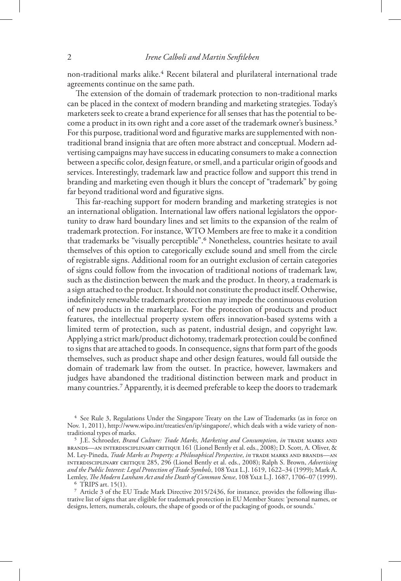non-traditional marks alike.4 Recent bilateral and plurilateral international trade agreements continue on the same path.

The extension of the domain of trademark protection to non-traditional marks can be placed in the context of modern branding and marketing strategies. Today's marketers seek to create a brand experience for all senses that has the potential to become a product in its own right and a core asset of the trademark owner's business.5 For this purpose, traditional word and figurative marks are supplemented with nontraditional brand insignia that are often more abstract and conceptual. Modern advertising campaigns may have success in educating consumers to make a connection between a specific color, design feature, or smell, and a particular origin of goods and services. Interestingly, trademark law and practice follow and support this trend in branding and marketing even though it blurs the concept of "trademark" by going far beyond traditional word and figurative signs.

This far-reaching support for modern branding and marketing strategies is not an international obligation. International law offers national legislators the opportunity to draw hard boundary lines and set limits to the expansion of the realm of trademark protection. For instance, WTO Members are free to make it a condition that trademarks be "visually perceptible".6 Nonetheless, countries hesitate to avail themselves of this option to categorically exclude sound and smell from the circle of registrable signs. Additional room for an outright exclusion of certain categories of signs could follow from the invocation of traditional notions of trademark law, such as the distinction between the mark and the product. In theory, a trademark is a sign attached to the product. It should not constitute the product itself. Otherwise, indefinitely renewable trademark protection may impede the continuous evolution of new products in the marketplace. For the protection of products and product features, the intellectual property system offers innovation-based systems with a limited term of protection, such as patent, industrial design, and copyright law. Applying a strict mark/product dichotomy, trademark protection could be confined to signs that are attached to goods. In consequence, signs that form part of the goods themselves, such as product shape and other design features, would fall outside the domain of trademark law from the outset. In practice, however, lawmakers and judges have abandoned the traditional distinction between mark and product in many countries.7 Apparently, it is deemed preferable to keep the doors to trademark

4 See Rule 3, Regulations Under the Singapore Treaty on the Law of Trademarks (as in force on Nov. 1, 2011), http://www.wipo.int/treaties/en/ip/singapore/, which deals with a wide variety of nontraditional types of marks.

5 J.E. Schroeder, *Brand Culture: Trade Marks, Marketing and Consumption*, *in* Trade Marks and Brands—An Interdisciplinary Critique 161 (Lionel Bently et al. eds., 2008); D. Scott, A. Oliver, & M. Ley-Pineda, *Trade Marks as Property: a Philosophical Perspective*, *in* Trade Marks and Brands—An Interdisciplinary Critique 285, 296 (Lionel Bently et al. eds., 2008); Ralph S. Brown, *Advertising and the Public Interest: Legal Protection of Trade Symbols*, 108 Yale L.J. 1619, 1622–34 (1999); Mark A. Lemley, *The Modern Lanham Act and the Death of Common Sense*, 108 Yale L.J. 1687, 1706–07 (1999). 6 TRIPS art. 15(1).

<sup>7</sup> Article 3 of the EU Trade Mark Directive 2015/2436, for instance, provides the following illustrative list of signs that are eligible for trademark protection in EU Member States: 'personal names, or designs, letters, numerals, colours, the shape of goods or of the packaging of goods, or sounds.'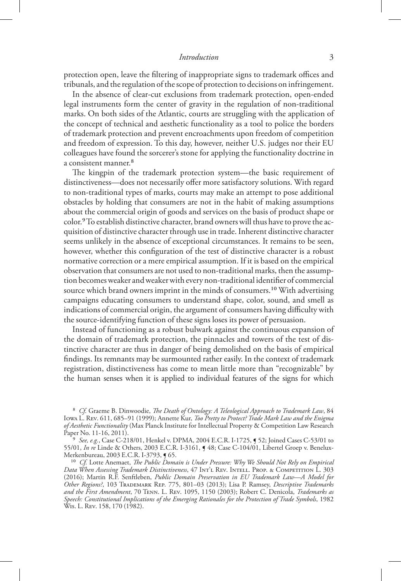#### *Introduction* 3

protection open, leave the filtering of inappropriate signs to trademark offices and tribunals, and the regulation of the scope of protection to decisions on infringement.

In the absence of clear-cut exclusions from trademark protection, open-ended legal instruments form the center of gravity in the regulation of non-traditional marks. On both sides of the Atlantic, courts are struggling with the application of the concept of technical and aesthetic functionality as a tool to police the borders of trademark protection and prevent encroachments upon freedom of competition and freedom of expression. To this day, however, neither U.S. judges nor their EU colleagues have found the sorcerer's stone for applying the functionality doctrine in a consistent manner.8

The kingpin of the trademark protection system—the basic requirement of distinctiveness—does not necessarily offer more satisfactory solutions. With regard to non-traditional types of marks, courts may make an attempt to pose additional obstacles by holding that consumers are not in the habit of making assumptions about the commercial origin of goods and services on the basis of product shape or color.9 To establish distinctive character, brand owners will thus have to prove the acquisition of distinctive character through use in trade. Inherent distinctive character seems unlikely in the absence of exceptional circumstances. It remains to be seen, however, whether this configuration of the test of distinctive character is a robust normative correction or a mere empirical assumption. If it is based on the empirical observation that consumers are not used to non-traditional marks, then the assumption becomes weaker and weaker with every non-traditional identifier of commercial source which brand owners imprint in the minds of consumers.<sup>10</sup> With advertising campaigns educating consumers to understand shape, color, sound, and smell as indications of commercial origin, the argument of consumers having difficulty with the source-identifying function of these signs loses its power of persuasion.

Instead of functioning as a robust bulwark against the continuous expansion of the domain of trademark protection, the pinnacles and towers of the test of distinctive character are thus in danger of being demolished on the basis of empirical findings. Its remnants may be surmounted rather easily. In the context of trademark registration, distinctiveness has come to mean little more than "recognizable" by the human senses when it is applied to individual features of the signs for which

8 *Cf.* Graeme B. Dinwoodie, *The Death of Ontology: A Teleological Approach to Trademark Law*, 84 Iowa L. Rev. 611, 685–91 (1999); Annette Kur, *Too Pretty to Protect? Trade Mark Law and the Enigma of Aesthetic Functionality* (Max Planck Institute for Intellectual Property & Competition Law Research Paper No. 11-16, 2011).

9 *See, e.g.*, Case C-218/01, Henkel v. DPMA, 2004 E.C.R. I-1725, ¶ 52; Joined Cases C-53/01 to 55/01, *In re* Linde & Others, 2003 E.C.R. I-3161, ¶ 48; Case C-104/01, Libertel Groep v. Benelux-Merkenbureau, 2003 E.C.R. I-3793, ¶ 65.

<sup>10</sup> Cf. Lotte Anemaet, *The Public Domain is Under Pressure: Why We Should Not Rely on Empirical Data When Assessing Trademark Distinctiveness*, 47 Int'l Rev. Intell. Prop. & Competition L. 303 (2016); Martin R.F. Senftleben, *Public Domain Preservation in EU Trademark Law—A Model for Other Regions?*, 103 Trademark Rep. 775, 801–03 (2013); Lisa P. Ramsey, *Descriptive Trademarks and the First Amendment*, 70 Tenn. L. Rev. 1095, 1150 (2003); Robert C. Denicola, *Trademarks as Speech: Constitutional Implications of the Emerging Rationales for the Protection of Trade Symbols*, 1982 Wis. L. Rev. 158, 170 (1982).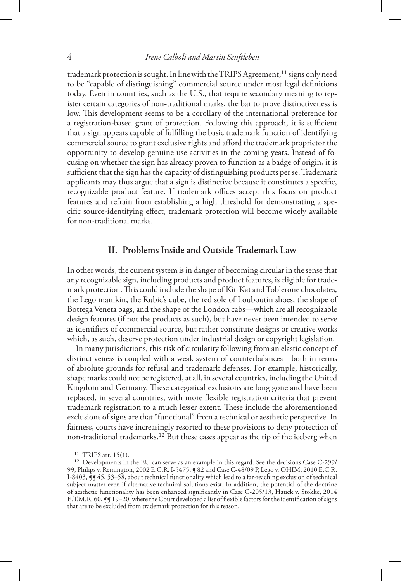trademark protection is sought. In line with the TRIPS Agreement,<sup>11</sup> signs only need to be "capable of distinguishing" commercial source under most legal definitions today. Even in countries, such as the U.S., that require secondary meaning to register certain categories of non-traditional marks, the bar to prove distinctiveness is low. This development seems to be a corollary of the international preference for a registration-based grant of protection. Following this approach, it is sufficient that a sign appears capable of fulfilling the basic trademark function of identifying commercial source to grant exclusive rights and afford the trademark proprietor the opportunity to develop genuine use activities in the coming years. Instead of focusing on whether the sign has already proven to function as a badge of origin, it is sufficient that the sign has the capacity of distinguishing products per se. Trademark applicants may thus argue that a sign is distinctive because it constitutes a specific, recognizable product feature. If trademark offices accept this focus on product features and refrain from establishing a high threshold for demonstrating a specific source-identifying effect, trademark protection will become widely available for non-traditional marks.

## **II. Problems Inside and Outside Trademark Law**

In other words, the current system is in danger of becoming circular in the sense that any recognizable sign, including products and product features, is eligible for trademark protection. This could include the shape of Kit-Kat and Toblerone chocolates, the Lego manikin, the Rubic's cube, the red sole of Louboutin shoes, the shape of Bottega Veneta bags, and the shape of the London cabs—which are all recognizable design features (if not the products as such), but have never been intended to serve as identifiers of commercial source, but rather constitute designs or creative works which, as such, deserve protection under industrial design or copyright legislation.

In many jurisdictions, this risk of circularity following from an elastic concept of distinctiveness is coupled with a weak system of counterbalances—both in terms of absolute grounds for refusal and trademark defenses. For example, historically, shape marks could not be registered, at all, in several countries, including the United Kingdom and Germany. These categorical exclusions are long gone and have been replaced, in several countries, with more flexible registration criteria that prevent trademark registration to a much lesser extent. These include the aforementioned exclusions of signs are that "functional" from a technical or aesthetic perspective. In fairness, courts have increasingly resorted to these provisions to deny protection of non-traditional trademarks.<sup>12</sup> But these cases appear as the tip of the iceberg when

<sup>11</sup> TRIPS art. 15(1).

<sup>12</sup> Developments in the EU can serve as an example in this regard. See the decisions Case C-299/ 99, Philips v. Remington, 2002 E.C.R. I-5475, ¶ 82 and Case C-48/09 P, Lego v. OHIM, 2010 E.C.R. I-8403,  $\frac{1}{5}$  45, 53–58, about technical functionality which lead to a far-reaching exclusion of technical subject matter even if alternative technical solutions exist. In addition, the potential of the doctrine of aesthetic functionality has been enhanced significantly in Case C-205/13, Hauck v. Stokke, 2014 E.T.M.R. 60, §§ 19–20, where the Court developed a list of flexible factors for the identification of signs that are to be excluded from trademark protection for this reason.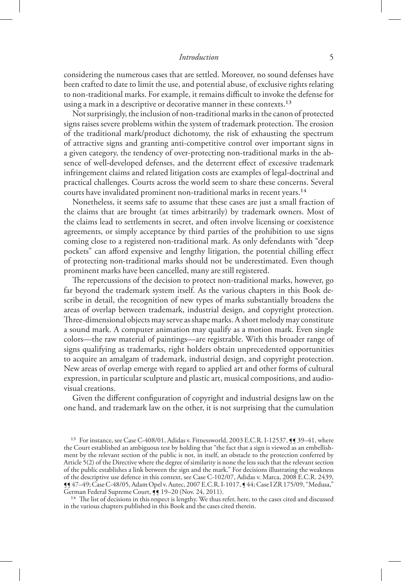#### *Introduction* 5

considering the numerous cases that are settled. Moreover, no sound defenses have been crafted to date to limit the use, and potential abuse, of exclusive rights relating to non-traditional marks. For example, it remains difficult to invoke the defense for using a mark in a descriptive or decorative manner in these contexts.<sup>13</sup>

Not surprisingly, the inclusion of non-traditional marks in the canon of protected signs raises severe problems within the system of trademark protection. The erosion of the traditional mark/product dichotomy, the risk of exhausting the spectrum of attractive signs and granting anti-competitive control over important signs in a given category, the tendency of over-protecting non-traditional marks in the absence of well-developed defenses, and the deterrent effect of excessive trademark infringement claims and related litigation costs are examples of legal-doctrinal and practical challenges. Courts across the world seem to share these concerns. Several courts have invalidated prominent non-traditional marks in recent years.<sup>14</sup>

Nonetheless, it seems safe to assume that these cases are just a small fraction of the claims that are brought (at times arbitrarily) by trademark owners. Most of the claims lead to settlements in secret, and often involve licensing or coexistence agreements, or simply acceptance by third parties of the prohibition to use signs coming close to a registered non-traditional mark. As only defendants with "deep pockets" can afford expensive and lengthy litigation, the potential chilling effect of protecting non-traditional marks should not be underestimated. Even though prominent marks have been cancelled, many are still registered.

The repercussions of the decision to protect non-traditional marks, however, go far beyond the trademark system itself. As the various chapters in this Book describe in detail, the recognition of new types of marks substantially broadens the areas of overlap between trademark, industrial design, and copyright protection. Three-dimensional objects may serve as shape marks. A short melody may constitute a sound mark. A computer animation may qualify as a motion mark. Even single colors—the raw material of paintings—are registrable. With this broader range of signs qualifying as trademarks, right holders obtain unprecedented opportunities to acquire an amalgam of trademark, industrial design, and copyright protection. New areas of overlap emerge with regard to applied art and other forms of cultural expression, in particular sculpture and plastic art, musical compositions, and audiovisual creations.

Given the different configuration of copyright and industrial designs law on the one hand, and trademark law on the other, it is not surprising that the cumulation

<sup>14</sup> The list of decisions in this respect is lengthy. We thus refer, here, to the cases cited and discussed in the various chapters published in this Book and the cases cited therein.

<sup>&</sup>lt;sup>13</sup> For instance, see Case C-408/01, Adidas v. Fitnessworld, 2003 E.C.R. I-12537, **[9** 39-41, where the Court established an ambiguous test by holding that "the fact that a sign is viewed as an embellishment by the relevant section of the public is not, in itself, an obstacle to the protection conferred by Article 5(2) of the Directive where the degree of similarity is none the less such that the relevant section of the public establishes a link between the sign and the mark." For decisions illustrating the weakness of the descriptive use defence in this context, see Case C-102/07, Adidas v. Marca, 2008 E.C.R. 2439, ¶¶ 47–49; Case C-48/05, Adam Opel v. Autec, 2007 E.C.R. I-1017, ¶ 44; Case I ZR 175/09, "Medusa," German Federal Supreme Court,  $\bar{y}$  19-20 (Nov. 24, 2011).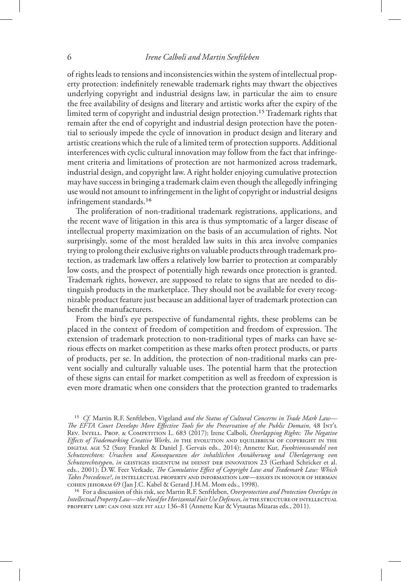of rights leads to tensions and inconsistencies within the system of intellectual property protection: indefinitely renewable trademark rights may thwart the objectives underlying copyright and industrial designs law, in particular the aim to ensure the free availability of designs and literary and artistic works after the expiry of the limited term of copyright and industrial design protection.15 Trademark rights that remain after the end of copyright and industrial design protection have the potential to seriously impede the cycle of innovation in product design and literary and artistic creations which the rule of a limited term of protection supports. Additional interferences with cyclic cultural innovation may follow from the fact that infringement criteria and limitations of protection are not harmonized across trademark, industrial design, and copyright law. A right holder enjoying cumulative protection may have success in bringing a trademark claim even though the allegedly infringing use would not amount to infringement in the light of copyright or industrial designs infringement standards.<sup>16</sup>

The proliferation of non-traditional trademark registrations, applications, and the recent wave of litigation in this area is thus symptomatic of a larger disease of intellectual property maximization on the basis of an accumulation of rights. Not surprisingly, some of the most heralded law suits in this area involve companies trying to prolong their exclusive rights on valuable products through trademark protection, as trademark law offers a relatively low barrier to protection at comparably low costs, and the prospect of potentially high rewards once protection is granted. Trademark rights, however, are supposed to relate to signs that are needed to distinguish products in the marketplace. They should not be available for every recognizable product feature just because an additional layer of trademark protection can benefit the manufacturers.

From the bird's eye perspective of fundamental rights, these problems can be placed in the context of freedom of competition and freedom of expression. The extension of trademark protection to non-traditional types of marks can have serious effects on market competition as these marks often protect products, or parts of products, per se. In addition, the protection of non-traditional marks can prevent socially and culturally valuable uses. The potential harm that the protection of these signs can entail for market competition as well as freedom of expression is even more dramatic when one considers that the protection granted to trademarks

15 *Cf.* Martin R.F. Senftleben, Vigeland *and the Status of Cultural Concerns in Trade Mark Law— The EFTA Court Develops More Effective Tools for the Preservation of the Public Domain*, 48 Int'l Rev. Intell. Prop. & Competition L. 683 (2017); Irene Calboli, *Overlapping Rights: The Negative Effects of Trademarking Creative Works*, *in* The Evolution and Equilibrium of Copyright in the Digital Age 52 (Susy Frankel & Daniel J. Gervais eds., 2014); Annette Kur, *Funktionswandel von Schutzrechten: Ursachen und Konsequenzen der inhaltlichen Annäherung und Überlagerung von Schutzrechtstypen*, *in* Geistiges Eigentum im Dienst der Innovation 23 (Gerhard Schricker et al. eds., 2001); D.W. Feer Verkade, *The Cumulative Effect of Copyright Law and Trademark Law: Which Takes Precedence?*, *in* Intellectual Property and Information Law—Essays in Honour of Herman Cohen Jehoram 69 (Jan J.C. Kabel & Gerard J.H.M. Mom eds., 1998).

16 For a discussion of this risk, see Martin R.F. Senftleben, *Overprotection and Protection Overlaps in Intellectual Property Law—the Need for Horizontal Fair Use Defences*, *in* The Structure of Intellectual Property Law: Can One Size Fit All? 136–81 (Annette Kur & Vytautas Mizaras eds., 2011).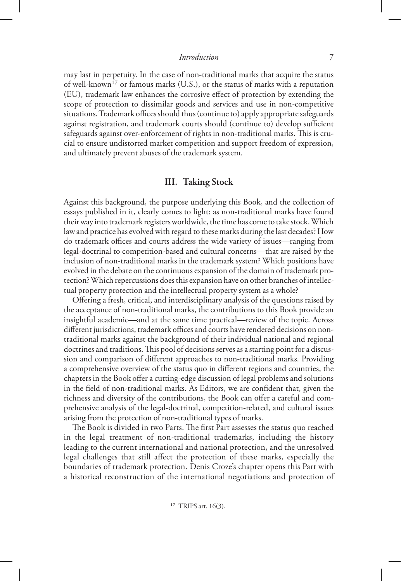may last in perpetuity. In the case of non-traditional marks that acquire the status of well-known<sup>17</sup> or famous marks (U.S.), or the status of marks with a reputation (EU), trademark law enhances the corrosive effect of protection by extending the scope of protection to dissimilar goods and services and use in non-competitive situations. Trademark offices should thus (continue to) apply appropriate safeguards against registration, and trademark courts should (continue to) develop sufficient safeguards against over-enforcement of rights in non-traditional marks. This is crucial to ensure undistorted market competition and support freedom of expression, and ultimately prevent abuses of the trademark system.

#### **III. Taking Stock**

Against this background, the purpose underlying this Book, and the collection of essays published in it, clearly comes to light: as non-traditional marks have found their way into trademark registers worldwide, the time has come to take stock. Which law and practice has evolved with regard to these marks during the last decades? How do trademark offices and courts address the wide variety of issues—ranging from legal-doctrinal to competition-based and cultural concerns—that are raised by the inclusion of non-traditional marks in the trademark system? Which positions have evolved in the debate on the continuous expansion of the domain of trademark protection? Which repercussions does this expansion have on other branches of intellectual property protection and the intellectual property system as a whole?

Offering a fresh, critical, and interdisciplinary analysis of the questions raised by the acceptance of non-traditional marks, the contributions to this Book provide an insightful academic—and at the same time practical—review of the topic. Across different jurisdictions, trademark offices and courts have rendered decisions on nontraditional marks against the background of their individual national and regional doctrines and traditions. This pool of decisions serves as a starting point for a discussion and comparison of different approaches to non-traditional marks. Providing a comprehensive overview of the status quo in different regions and countries, the chapters in the Book offer a cutting-edge discussion of legal problems and solutions in the field of non-traditional marks. As Editors, we are confident that, given the richness and diversity of the contributions, the Book can offer a careful and comprehensive analysis of the legal-doctrinal, competition-related, and cultural issues arising from the protection of non-traditional types of marks.

The Book is divided in two Parts. The first Part assesses the status quo reached in the legal treatment of non-traditional trademarks, including the history leading to the current international and national protection, and the unresolved legal challenges that still affect the protection of these marks, especially the boundaries of trademark protection. Denis Croze's chapter opens this Part with a historical reconstruction of the international negotiations and protection of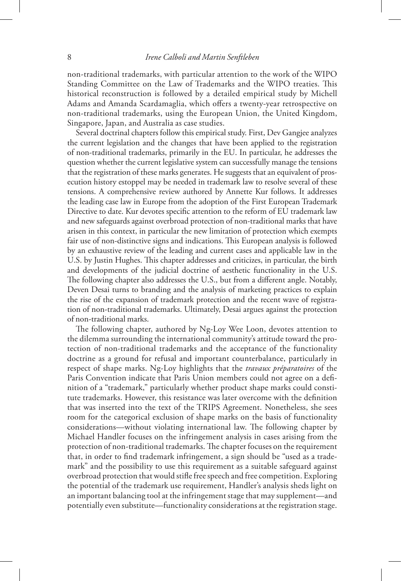non-traditional trademarks, with particular attention to the work of the WIPO Standing Committee on the Law of Trademarks and the WIPO treaties. This historical reconstruction is followed by a detailed empirical study by Michell Adams and Amanda Scardamaglia, which offers a twenty-year retrospective on non-traditional trademarks, using the European Union, the United Kingdom, Singapore, Japan, and Australia as case studies.

Several doctrinal chapters follow this empirical study. First, Dev Gangjee analyzes the current legislation and the changes that have been applied to the registration of non-traditional trademarks, primarily in the EU. In particular, he addresses the question whether the current legislative system can successfully manage the tensions that the registration of these marks generates. He suggests that an equivalent of prosecution history estoppel may be needed in trademark law to resolve several of these tensions. A comprehensive review authored by Annette Kur follows. It addresses the leading case law in Europe from the adoption of the First European Trademark Directive to date. Kur devotes specific attention to the reform of EU trademark law and new safeguards against overbroad protection of non-traditional marks that have arisen in this context, in particular the new limitation of protection which exempts fair use of non-distinctive signs and indications. This European analysis is followed by an exhaustive review of the leading and current cases and applicable law in the U.S. by Justin Hughes. This chapter addresses and criticizes, in particular, the birth and developments of the judicial doctrine of aesthetic functionality in the U.S. The following chapter also addresses the U.S., but from a different angle. Notably, Deven Desai turns to branding and the analysis of marketing practices to explain the rise of the expansion of trademark protection and the recent wave of registration of non-traditional trademarks. Ultimately, Desai argues against the protection of non-traditional marks.

The following chapter, authored by Ng-Loy Wee Loon, devotes attention to the dilemma surrounding the international community's attitude toward the protection of non-traditional trademarks and the acceptance of the functionality doctrine as a ground for refusal and important counterbalance, particularly in respect of shape marks. Ng-Loy highlights that the *travaux préparatoires* of the Paris Convention indicate that Paris Union members could not agree on a definition of a "trademark," particularly whether product shape marks could constitute trademarks. However, this resistance was later overcome with the definition that was inserted into the text of the TRIPS Agreement. Nonetheless, she sees room for the categorical exclusion of shape marks on the basis of functionality considerations—without violating international law. The following chapter by Michael Handler focuses on the infringement analysis in cases arising from the protection of non-traditional trademarks. The chapter focuses on the requirement that, in order to find trademark infringement, a sign should be "used as a trademark" and the possibility to use this requirement as a suitable safeguard against overbroad protection that would stifle free speech and free competition. Exploring the potential of the trademark use requirement, Handler's analysis sheds light on an important balancing tool at the infringement stage that may supplement—and potentially even substitute—functionality considerations at the registration stage.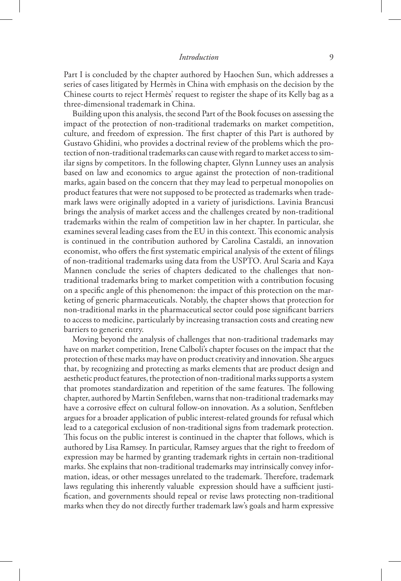Part I is concluded by the chapter authored by Haochen Sun, which addresses a series of cases litigated by Hermès in China with emphasis on the decision by the Chinese courts to reject Hermès' request to register the shape of its Kelly bag as a three-dimensional trademark in China.

Building upon this analysis, the second Part of the Book focuses on assessing the impact of the protection of non-traditional trademarks on market competition, culture, and freedom of expression. The first chapter of this Part is authored by Gustavo Ghidini, who provides a doctrinal review of the problems which the protection of non-traditional trademarks can cause with regard to market access to similar signs by competitors. In the following chapter, Glynn Lunney uses an analysis based on law and economics to argue against the protection of non-traditional marks, again based on the concern that they may lead to perpetual monopolies on product features that were not supposed to be protected as trademarks when trademark laws were originally adopted in a variety of jurisdictions. Lavinia Brancusi brings the analysis of market access and the challenges created by non-traditional trademarks within the realm of competition law in her chapter. In particular, she examines several leading cases from the EU in this context. This economic analysis is continued in the contribution authored by Carolina Castaldi, an innovation economist, who offers the first systematic empirical analysis of the extent of filings of non-traditional trademarks using data from the USPTO. Arul Scaria and Kaya Mannen conclude the series of chapters dedicated to the challenges that nontraditional trademarks bring to market competition with a contribution focusing on a specific angle of this phenomenon: the impact of this protection on the marketing of generic pharmaceuticals. Notably, the chapter shows that protection for non-traditional marks in the pharmaceutical sector could pose significant barriers to access to medicine, particularly by increasing transaction costs and creating new barriers to generic entry.

Moving beyond the analysis of challenges that non-traditional trademarks may have on market competition, Irene Calboli's chapter focuses on the impact that the protection of these marks may have on product creativity and innovation. She argues that, by recognizing and protecting as marks elements that are product design and aesthetic product features, the protection of non-traditional marks supports a system that promotes standardization and repetition of the same features. The following chapter, authored by Martin Senftleben, warns that non-traditional trademarks may have a corrosive effect on cultural follow-on innovation. As a solution, Senftleben argues for a broader application of public interest-related grounds for refusal which lead to a categorical exclusion of non-traditional signs from trademark protection. This focus on the public interest is continued in the chapter that follows, which is authored by Lisa Ramsey. In particular, Ramsey argues that the right to freedom of expression may be harmed by granting trademark rights in certain non-traditional marks. She explains that non-traditional trademarks may intrinsically convey information, ideas, or other messages unrelated to the trademark. Therefore, trademark laws regulating this inherently valuable expression should have a sufficient justification, and governments should repeal or revise laws protecting non-traditional marks when they do not directly further trademark law's goals and harm expressive